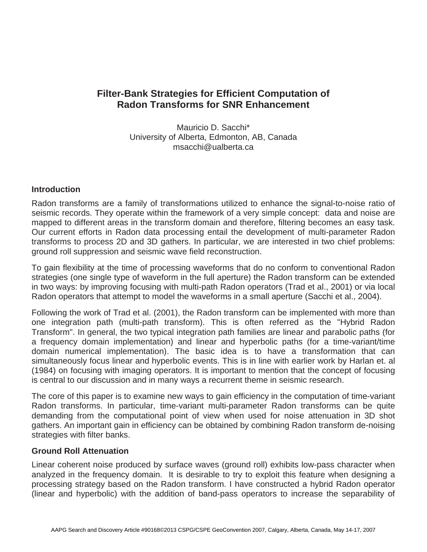# **Filter-Bank Strategies for Efficient Computation of Radon Transforms for SNR Enhancement**

Mauricio D. Sacchi\* University of Alberta, Edmonton, AB, Canada msacchi@ualberta.ca

### **Introduction**

Radon transforms are a family of transformations utilized to enhance the signal-to-noise ratio of seismic records. They operate within the framework of a very simple concept: data and noise are mapped to different areas in the transform domain and therefore, filtering becomes an easy task. Our current efforts in Radon data processing entail the development of multi-parameter Radon transforms to process 2D and 3D gathers. In particular, we are interested in two chief problems: ground roll suppression and seismic wave field reconstruction.

To gain flexibility at the time of processing waveforms that do no conform to conventional Radon strategies (one single type of waveform in the full aperture) the Radon transform can be extended in two ways: by improving focusing with multi-path Radon operators (Trad et al., 2001) or via local Radon operators that attempt to model the waveforms in a small aperture (Sacchi et al., 2004).

Following the work of Trad et al. (2001), the Radon transform can be implemented with more than one integration path (multi-path transform). This is often referred as the "Hybrid Radon Transform". In general, the two typical integration path families are linear and parabolic paths (for a frequency domain implementation) and linear and hyperbolic paths (for a time-variant/time domain numerical implementation). The basic idea is to have a transformation that can simultaneously focus linear and hyperbolic events. This is in line with earlier work by Harlan et. al (1984) on focusing with imaging operators. It is important to mention that the concept of focusing is central to our discussion and in many ways a recurrent theme in seismic research.

The core of this paper is to examine new ways to gain efficiency in the computation of time-variant Radon transforms. In particular, time-variant multi-parameter Radon transforms can be quite demanding from the computational point of view when used for noise attenuation in 3D shot gathers. An important gain in efficiency can be obtained by combining Radon transform de-noising strategies with filter banks.

#### **Ground Roll Attenuation**

Linear coherent noise produced by surface waves (ground roll) exhibits low-pass character when analyzed in the frequency domain. It is desirable to try to exploit this feature when designing a processing strategy based on the Radon transform. I have constructed a hybrid Radon operator (linear and hyperbolic) with the addition of band-pass operators to increase the separability of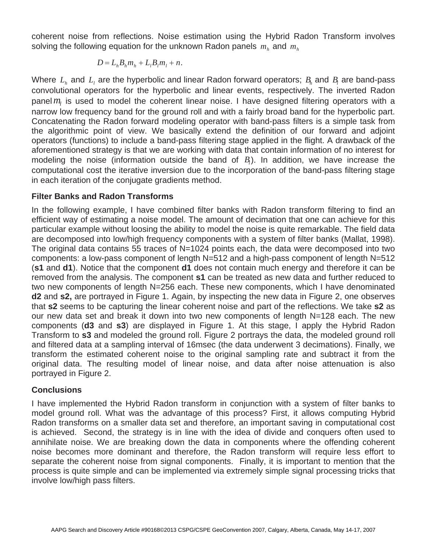coherent noise from reflections. Noise estimation using the Hybrid Radon Transform involves solving the following equation for the unknown Radon panels  $m<sub>k</sub>$  and  $m<sub>k</sub>$ 

$$
D = L_h B_h m_h + L_l B_l m_l + n.
$$

Where  $L_h$  and  $L_l$  are the hyperbolic and linear Radon forward operators;  $B_h$  and  $B_l$  are band-pass convolutional operators for the hyperbolic and linear events, respectively. The inverted Radon panel  $m<sub>i</sub>$  is used to model the coherent linear noise. I have designed filtering operators with a narrow low frequency band for the ground roll and with a fairly broad band for the hyperbolic part. Concatenating the Radon forward modeling operator with band-pass filters is a simple task from the algorithmic point of view. We basically extend the definition of our forward and adjoint operators (functions) to include a band-pass filtering stage applied in the flight. A drawback of the aforementioned strategy is that we are working with data that contain information of no interest for modeling the noise (information outside the band of  $B<sub>i</sub>$ ). In addition, we have increase the computational cost the iterative inversion due to the incorporation of the band-pass filtering stage in each iteration of the conjugate gradients method.

### **Filter Banks and Radon Transforms**

In the following example, I have combined filter banks with Radon transform filtering to find an efficient way of estimating a noise model. The amount of decimation that one can achieve for this particular example without loosing the ability to model the noise is quite remarkable. The field data are decomposed into low/high frequency components with a system of filter banks (Mallat, 1998). The original data contains 55 traces of N=1024 points each, the data were decomposed into two components: a low-pass component of length N=512 and a high-pass component of length N=512 (**s1** and **d1**). Notice that the component **d1** does not contain much energy and therefore it can be removed from the analysis. The component **s1** can be treated as new data and further reduced to two new components of length N=256 each. These new components, which I have denominated **d2** and **s2,** are portrayed in Figure 1. Again, by inspecting the new data in Figure 2, one observes that **s2** seems to be capturing the linear coherent noise and part of the reflections. We take **s2** as our new data set and break it down into two new components of length N=128 each. The new components (**d3** and **s3**) are displayed in Figure 1. At this stage, I apply the Hybrid Radon Transform to **s3** and modeled the ground roll. Figure 2 portrays the data, the modeled ground roll and filtered data at a sampling interval of 16msec (the data underwent 3 decimations). Finally, we transform the estimated coherent noise to the original sampling rate and subtract it from the original data. The resulting model of linear noise, and data after noise attenuation is also portrayed in Figure 2.

## **Conclusions**

I have implemented the Hybrid Radon transform in conjunction with a system of filter banks to model ground roll. What was the advantage of this process? First, it allows computing Hybrid Radon transforms on a smaller data set and therefore, an important saving in computational cost is achieved. Second, the strategy is in line with the idea of divide and conquers often used to annihilate noise. We are breaking down the data in components where the offending coherent noise becomes more dominant and therefore, the Radon transform will require less effort to separate the coherent noise from signal components. Finally, it is important to mention that the process is quite simple and can be implemented via extremely simple signal processing tricks that involve low/high pass filters.